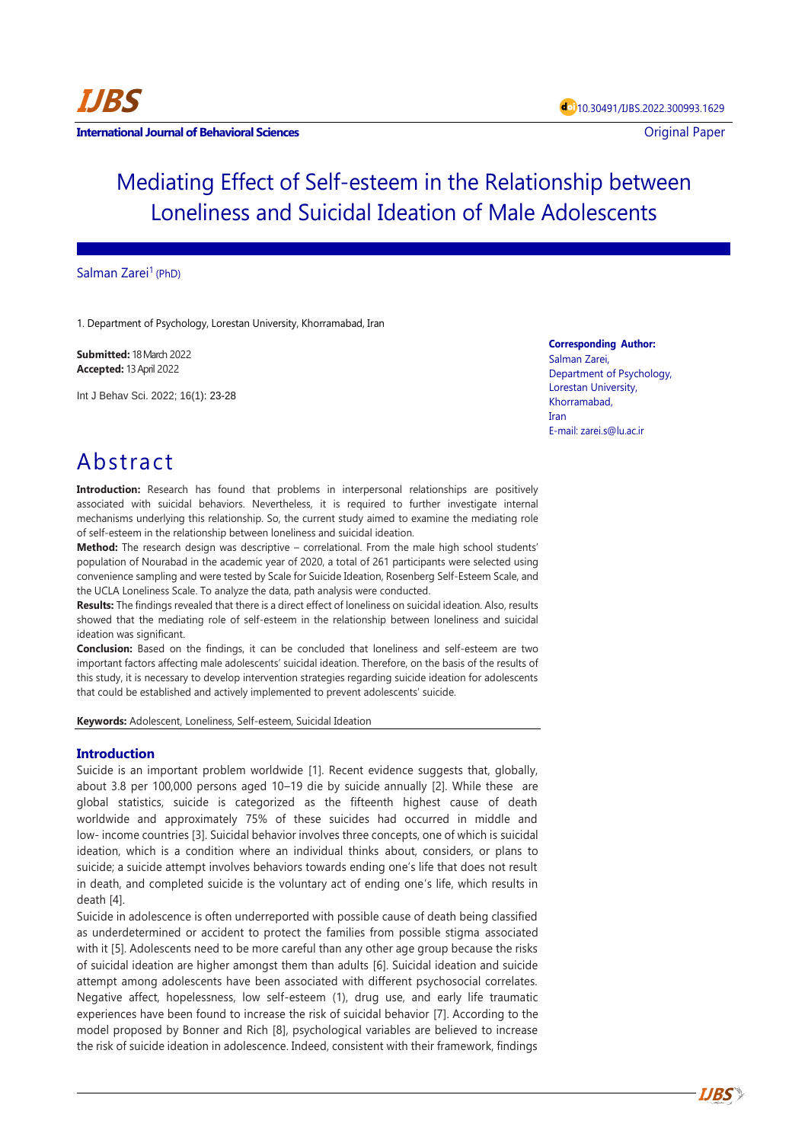

**IJBS**

# Mediating Effect of Self-esteem in the Relationship between Loneliness and Suicidal Ideation of Male Adolescents

## Salman Zarei<sup>1</sup> (PhD)

1. Department of Psychology, Lorestan University, Khorramabad, Iran

**Submitted:** 18 March 2022 **Accepted:** 13 April 2022

Int J Behav Sci. 2022; 16(1): 23-28

**Corresponding Author:** Salman Zarei,

Department of Psychology, Lorestan University, Khorramabad, Iran E-mail[: zarei.s@lu.ac.ir](mailto:zarei.s@lu.ac.ir)

## Abstract

**Introduction:** Research has found that problems in interpersonal relationships are positively associated with suicidal behaviors. Nevertheless, it is required to further investigate internal mechanisms underlying this relationship. So, the current study aimed to examine the mediating role of self-esteem in the relationship between loneliness and suicidal ideation.

**Method:** The research design was descriptive – correlational. From the male high school students' population of Nourabad in the academic year of 2020, a total of 261 participants were selected using convenience sampling and were tested by Scale for Suicide Ideation, Rosenberg Self-Esteem Scale, and the UCLA Loneliness Scale. To analyze the data, path analysis were conducted.

**Results:** The findings revealed that there is a direct effect of loneliness on suicidal ideation. Also, results showed that the mediating role of self-esteem in the relationship between loneliness and suicidal ideation was significant.

**Conclusion:** Based on the findings, it can be concluded that loneliness and self-esteem are two important factors affecting male adolescents' suicidal ideation. Therefore, on the basis of the results of this study, it is necessary to develop intervention strategies regarding suicide ideation for adolescents that could be established and actively implemented to prevent adolescents' suicide.

**Keywords:** Adolescent, Loneliness, Self-esteem, Suicidal Ideation

## **Introduction**

Suicide is an important problem worldwide [1]. Recent evidence suggests that, globally, about 3.8 per 100,000 persons aged 10–19 die by suicide annually [2]. While these are global statistics, suicide is categorized as the fifteenth highest cause of death worldwide and approximately 75% of these suicides had occurred in middle and low- income countries [3]. Suicidal behavior involves three concepts, one of which is suicidal ideation, which is a condition where an individual thinks about, considers, or plans to suicide; a suicide attempt involves behaviors towards ending one's life that does not result in death, and completed suicide is the voluntary act of ending one's life, which results in death [4].

Suicide in adolescence is often underreported with possible cause of death being classified as underdetermined or accident to protect the families from possible stigma associated with it [5]. Adolescents need to be more careful than any other age group because the risks of suicidal ideation are higher amongst them than adults [6]. Suicidal ideation and suicide attempt among adolescents have been associated with different psychosocial correlates. Negative affect, hopelessness, low self-esteem (1), drug use, and early life traumatic experiences have been found to increase the risk of suicidal behavior [7]. According to the model proposed by Bonner and Rich [8], psychological variables are believed to increase the risk of suicide ideation in adolescence. Indeed, consistent with their framework, findings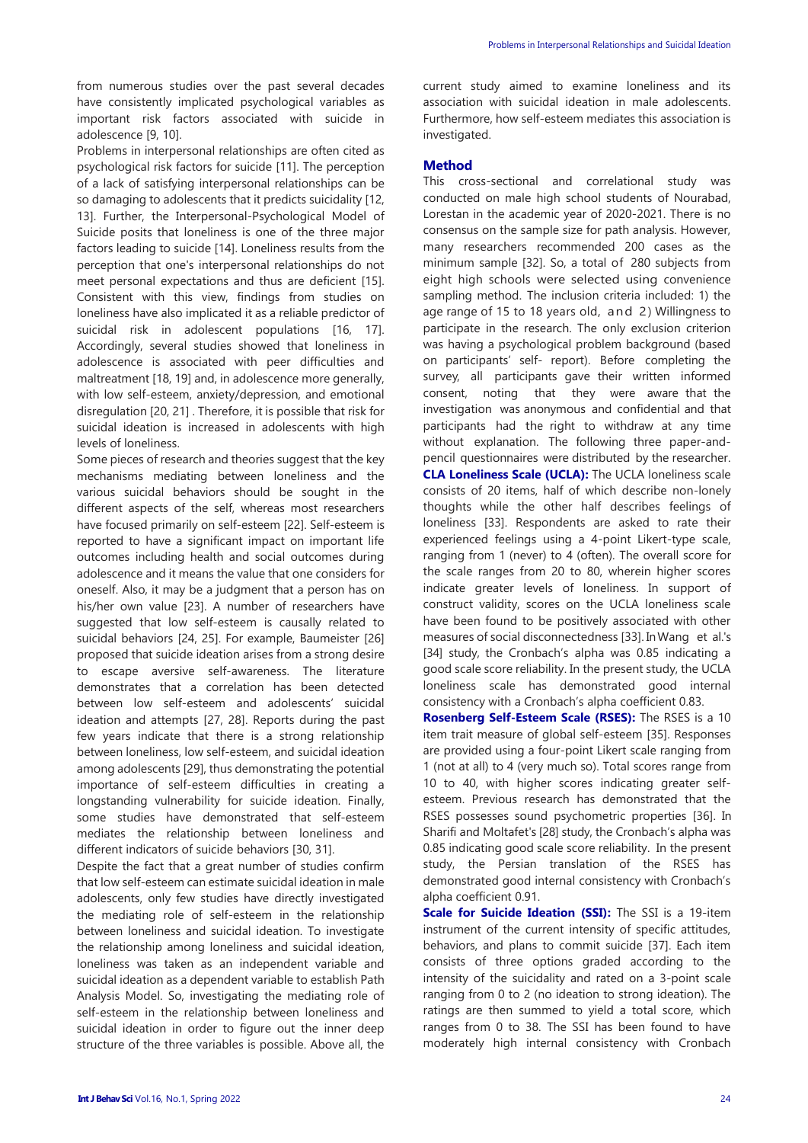from numerous studies over the past several decades have consistently implicated psychological variables as important risk factors associated with suicide in adolescence [9, 10].

Problems in interpersonal relationships are often cited as psychological risk factors for suicide [11]. The perception of a lack of satisfying interpersonal relationships can be so damaging to adolescents that it predicts suicidality [12, 13]. Further, the Interpersonal-Psychological Model of Suicide posits that loneliness is one of the three major factors leading to suicide [14]. Loneliness results from the perception that one's interpersonal relationships do not meet personal expectations and thus are deficient [15]. Consistent with this view, findings from studies on loneliness have also implicated it as a reliable predictor of suicidal risk in adolescent populations [16, 17]. Accordingly, several studies showed that loneliness in adolescence is associated with peer difficulties and maltreatment [18, 19] and, in adolescence more generally, with low self-esteem, anxiety/depression, and emotional disregulation [20, 21] . Therefore, it is possible that risk for suicidal ideation is increased in adolescents with high levels of loneliness.

Some pieces of research and theories suggest that the key mechanisms mediating between loneliness and the various suicidal behaviors should be sought in the different aspects of the self, whereas most researchers have focused primarily on self-esteem [22]. Self-esteem is reported to have a significant impact on important life outcomes including health and social outcomes during adolescence and it means the value that one considers for oneself. Also, it may be a judgment that a person has on his/her own value [23]. A number of researchers have suggested that low self-esteem is causally related to suicidal behaviors [24, 25]. For example, Baumeister [26] proposed that suicide ideation arises from a strong desire to escape aversive self-awareness. The literature demonstrates that a correlation has been detected between low self-esteem and adolescents' suicidal ideation and attempts [27, 28]. Reports during the past few years indicate that there is a strong relationship between loneliness, low self-esteem, and suicidal ideation among adolescents [29], thus demonstrating the potential importance of self-esteem difficulties in creating a longstanding vulnerability for suicide ideation. Finally, some studies have demonstrated that self-esteem mediates the relationship between loneliness and different indicators of suicide behaviors [30, 31].

Despite the fact that a great number of studies confirm that low self-esteem can estimate suicidal ideation in male adolescents, only few studies have directly investigated the mediating role of self-esteem in the relationship between loneliness and suicidal ideation. To investigate the relationship among loneliness and suicidal ideation, loneliness was taken as an independent variable and suicidal ideation as a dependent variable to establish Path Analysis Model. So, investigating the mediating role of self-esteem in the relationship between loneliness and suicidal ideation in order to figure out the inner deep structure of the three variables is possible. Above all, the current study aimed to examine loneliness and its association with suicidal ideation in male adolescents. Furthermore, how self-esteem mediates this association is investigated.

#### **Method**

This cross-sectional and correlational study was conducted on male high school students of Nourabad, Lorestan in the academic year of 2020-2021. There is no consensus on the sample size for path analysis. However, many researchers recommended 200 cases as the minimum sample [32]. So, a total of 280 subjects from eight high schools were selected using convenience sampling method. The inclusion criteria included: 1) the age range of 15 to 18 years old, and 2) Willingness to participate in the research. The only exclusion criterion was having a psychological problem background (based on participants' self- report). Before completing the survey, all participants gave their written informed consent, noting that they were aware that the investigation was anonymous and confidential and that participants had the right to withdraw at any time without explanation. The following three paper-andpencil questionnaires were distributed by the researcher. **CLA Loneliness Scale (UCLA):** The UCLA loneliness scale consists of 20 items, half of which describe non-lonely thoughts while the other half describes feelings of loneliness [33]. Respondents are asked to rate their experienced feelings using a 4-point Likert-type scale, ranging from 1 (never) to 4 (often). The overall score for the scale ranges from 20 to 80, wherein higher scores indicate greater levels of loneliness. In support of construct validity, scores on the UCLA loneliness scale have been found to be positively associated with other measures of social disconnectedness [33]. In Wang et al.'s [34] study, the Cronbach's alpha was 0.85 indicating a good scale score reliability. In the present study, the UCLA loneliness scale has demonstrated good internal consistency with a Cronbach's alpha coefficient 0.83.

**Rosenberg Self-Esteem Scale (RSES):** The RSES is a 10 item trait measure of global self-esteem [35]. Responses are provided using a four-point Likert scale ranging from 1 (not at all) to 4 (very much so). Total scores range from 10 to 40, with higher scores indicating greater selfesteem. Previous research has demonstrated that the RSES possesses sound psychometric properties [36]. In Sharifi and Moltafet's [28] study, the Cronbach's alpha was 0.85 indicating good scale score reliability. In the present study, the Persian translation of the RSES has demonstrated good internal consistency with Cronbach's alpha coefficient 0.91.

**Scale for Suicide Ideation (SSI):** The SSI is a 19-item instrument of the current intensity of specific attitudes, behaviors, and plans to commit suicide [37]. Each item consists of three options graded according to the intensity of the suicidality and rated on a 3-point scale ranging from 0 to 2 (no ideation to strong ideation). The ratings are then summed to yield a total score, which ranges from 0 to 38. The SSI has been found to have moderately high internal consistency with Cronbach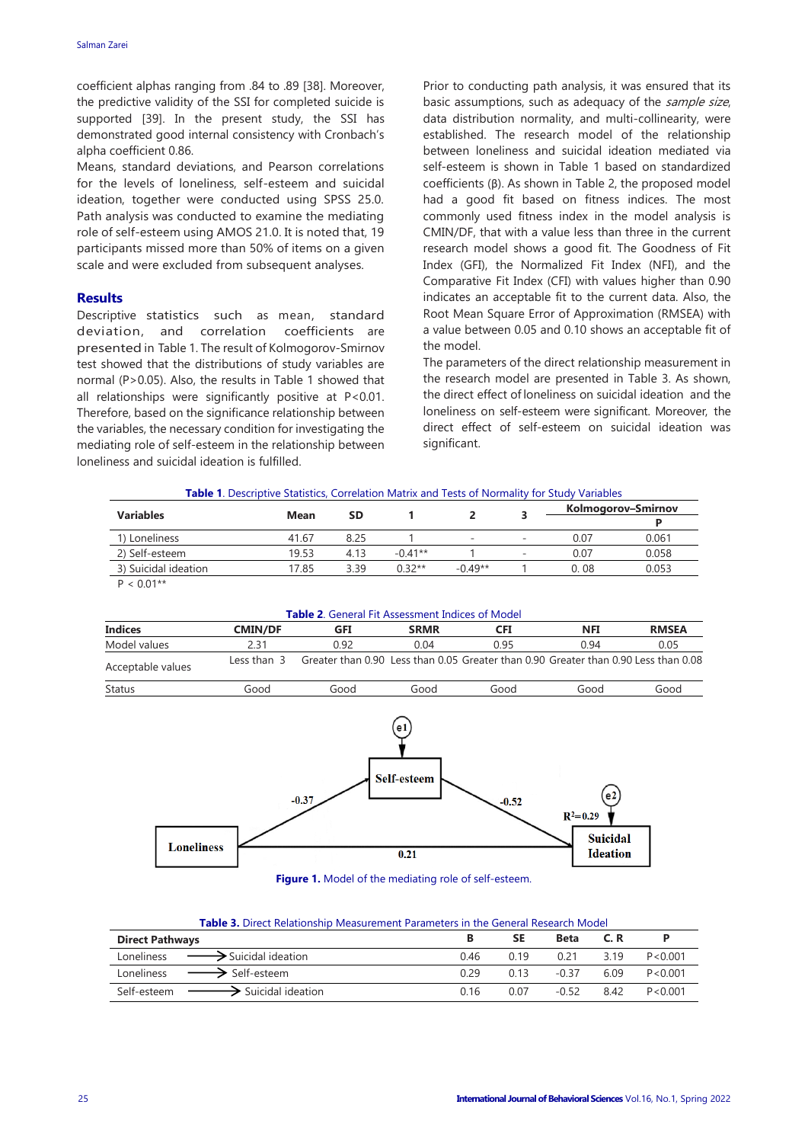coefficient alphas ranging from .84 to .89 [38]. Moreover, the predictive validity of the SSI for completed suicide is supported [39]. In the present study, the SSI has demonstrated good internal consistency with Cronbach's alpha coefficient 0.86.

Means, standard deviations, and Pearson correlations for the levels of loneliness, self-esteem and suicidal ideation, together were conducted using SPSS 25.0. Path analysis was conducted to examine the mediating role of self-esteem using AMOS 21.0. It is noted that, 19 participants missed more than 50% of items on a given scale and were excluded from subsequent analyses.

## **Results**

Descriptive statistics such as mean, standard deviation, and correlation coefficients are presented in Table 1. The result of Kolmogorov-Smirnov test showed that the distributions of study variables are normal (P>0.05). Also, the results in Table 1 showed that all relationships were significantly positive at P<0.01. Therefore, based on the significance relationship between the variables, the necessary condition for investigating the mediating role of self-esteem in the relationship between loneliness and suicidal ideation is fulfilled.

Prior to conducting path analysis, it was ensured that its basic assumptions, such as adequacy of the sample size, data distribution normality, and multi-collinearity, were established. The research model of the relationship between loneliness and suicidal ideation mediated via self-esteem is shown in Table 1 based on standardized coefficients (β). As shown in Table 2, the proposed model had a good fit based on fitness indices. The most commonly used fitness index in the model analysis is CMIN/DF, that with a value less than three in the current research model shows a good fit. The Goodness of Fit Index (GFI), the Normalized Fit Index (NFI), and the Comparative Fit Index (CFI) with values higher than 0.90 indicates an acceptable fit to the current data. Also, the Root Mean Square Error of Approximation (RMSEA) with a value between 0.05 and 0.10 shows an acceptable fit of the model.

The parameters of the direct relationship measurement in the research model are presented in Table 3. As shown, the direct effect of loneliness on suicidal ideation and the loneliness on self-esteem were significant. Moreover, the direct effect of self-esteem on suicidal ideation was significant.

| <b>Variables</b>     |       | <b>SD</b> |           |           |                          | Kolmogorov-Smirnov |       |
|----------------------|-------|-----------|-----------|-----------|--------------------------|--------------------|-------|
|                      | Mean  |           |           |           |                          |                    |       |
| 1) Loneliness        | 41.67 |           |           |           | $\overline{\phantom{a}}$ | 0.07               | 0.061 |
| 2) Self-esteem       | 19.53 | 4.13      | $-0.41**$ |           | $\overline{\phantom{a}}$ | 0.07               | 0.058 |
| 3) Suicidal ideation | 17.85 | 3.39      | $0.32**$  | $-0.49**$ |                          | 0. 08              | 0.053 |
|                      |       |           |           |           |                          |                    |       |

 $P < 0.01**$ 



| <b>Table 3.</b> Direct Relationship Measurement Parameters in the General Research Model |  |  |
|------------------------------------------------------------------------------------------|--|--|

| <b>Direct Pathways</b>                         |      | <b>SE</b> | Beta    | C.R  |           |
|------------------------------------------------|------|-----------|---------|------|-----------|
|                                                |      |           |         |      |           |
| Loneliness $\longrightarrow$ Suicidal ideation | 0.46 | በ 19      | 0.21    | 3.19 | P < 0.001 |
| Loneliness $\longrightarrow$ Self-esteem       | 0.29 | 0.13      | -0.37   | 6.09 | P < 0.001 |
| → Suicidal ideation<br>Self-esteem             | 0.16 | 0.07      | $-0.52$ | 8.42 | P<0.001   |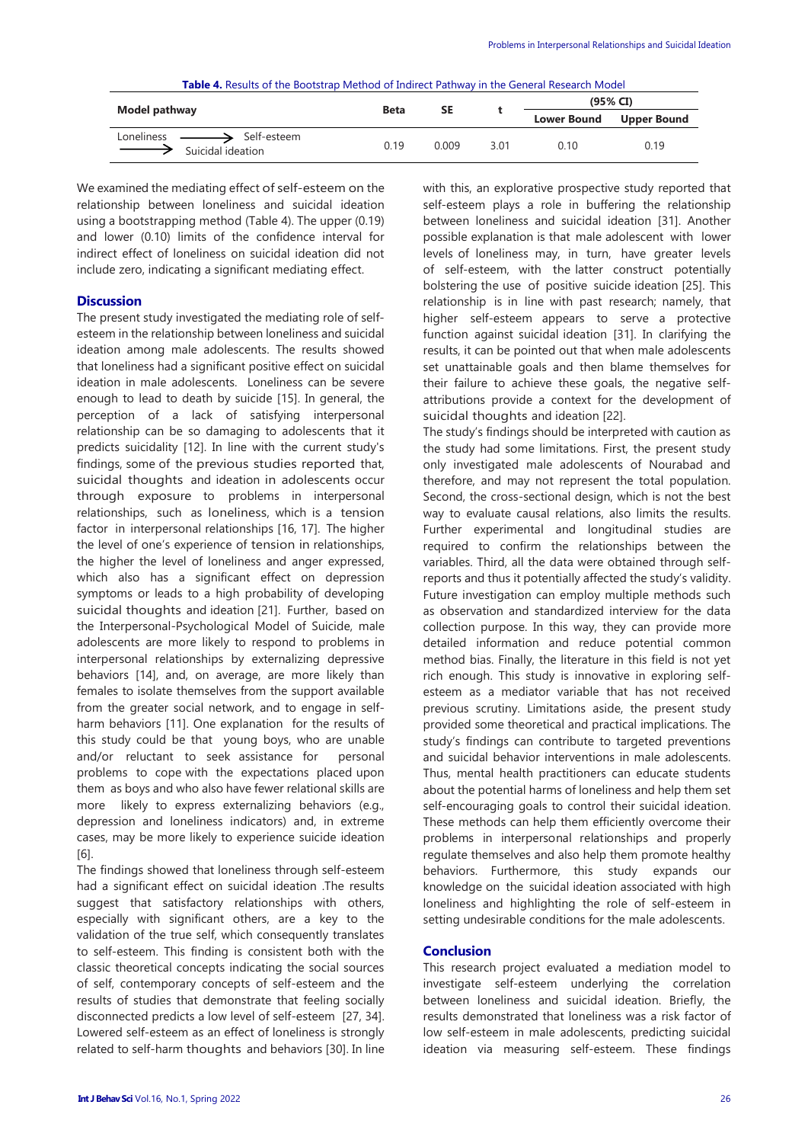|                                                                                       | <b>Beta</b> | <b>SE</b> |      | (95% CI)           |                    |  |
|---------------------------------------------------------------------------------------|-------------|-----------|------|--------------------|--------------------|--|
| Model pathway                                                                         |             |           |      | <b>Lower Bound</b> | <b>Upper Bound</b> |  |
| Loneliness —— <del>——&gt;</del> Self-esteem<br>$\longrightarrow$<br>Suicidal ideation | 0.19        | 0.009     | 3.01 | ი 10               | 0.19               |  |

We examined the mediating effect of self-esteem on the relationship between loneliness and suicidal ideation using a bootstrapping method (Table 4). The upper (0.19) and lower (0.10) limits of the confidence interval for indirect effect of loneliness on suicidal ideation did not include zero, indicating a significant mediating effect.

#### **Discussion**

The present study investigated the mediating role of selfesteem in the relationship between loneliness and suicidal ideation among male adolescents. The results showed that loneliness had a significant positive effect on suicidal ideation in male adolescents. Loneliness can be severe enough to lead to death by suicide [15]. In general, the perception of a lack of satisfying interpersonal relationship can be so damaging to adolescents that it predicts suicidality [12]. In line with the current study's findings, some of the previous studies reported that, suicidal thoughts and ideation in adolescents occur through exposure to problems in interpersonal relationships, such as loneliness, which is a tension factor in interpersonal relationships [16, 17]. The higher the level of one's experience of tension in relationships, the higher the level of loneliness and anger expressed, which also has a significant effect on depression symptoms or leads to a high probability of developing suicidal thoughts and ideation [21]. Further, based on the Interpersonal-Psychological Model of Suicide, male adolescents are more likely to respond to problems in interpersonal relationships by externalizing depressive behaviors [14], and, on average, are more likely than females to isolate themselves from the support available from the greater social network, and to engage in selfharm behaviors [11]. One explanation for the results of this study could be that young boys, who are unable and/or reluctant to seek assistance for personal problems to cope with the expectations placed upon them as boys and who also have fewer relational skills are more likely to express externalizing behaviors (e.g., depression and loneliness indicators) and, in extreme cases, may be more likely to experience suicide ideation [6].

The findings showed that loneliness through self-esteem had a significant effect on suicidal ideation .The results suggest that satisfactory relationships with others, especially with significant others, are a key to the validation of the true self, which consequently translates to self-esteem. This finding is consistent both with the classic theoretical concepts indicating the social sources of self, contemporary concepts of self-esteem and the results of studies that demonstrate that feeling socially disconnected predicts a low level of self-esteem [27, 34]. Lowered self-esteem as an effect of loneliness is strongly related to self-harm thoughts and behaviors [30]. In line with this, an explorative prospective study reported that self-esteem plays a role in buffering the relationship between loneliness and suicidal ideation [31]. Another possible explanation is that male adolescent with lower levels of loneliness may, in turn, have greater levels of self-esteem, with the latter construct potentially bolstering the use of positive suicide ideation [25]. This relationship is in line with past research; namely, that higher self-esteem appears to serve a protective function against suicidal ideation [31]. In clarifying the results, it can be pointed out that when male adolescents set unattainable goals and then blame themselves for their failure to achieve these goals, the negative selfattributions provide a context for the development of suicidal thoughts and ideation [22].

The study's findings should be interpreted with caution as the study had some limitations. First, the present study only investigated male adolescents of Nourabad and therefore, and may not represent the total population. Second, the cross-sectional design, which is not the best way to evaluate causal relations, also limits the results. Further experimental and longitudinal studies are required to confirm the relationships between the variables. Third, all the data were obtained through selfreports and thus it potentially affected the study's validity. Future investigation can employ multiple methods such as observation and standardized interview for the data collection purpose. In this way, they can provide more detailed information and reduce potential common method bias. Finally, the literature in this field is not yet rich enough. This study is innovative in exploring selfesteem as a mediator variable that has not received previous scrutiny. Limitations aside, the present study provided some theoretical and practical implications. The study's findings can contribute to targeted preventions and suicidal behavior interventions in male adolescents. Thus, mental health practitioners can educate students about the potential harms of loneliness and help them set self-encouraging goals to control their suicidal ideation. These methods can help them efficiently overcome their problems in interpersonal relationships and properly regulate themselves and also help them promote healthy behaviors. Furthermore, this study expands our knowledge on the suicidal ideation associated with high loneliness and highlighting the role of self-esteem in setting undesirable conditions for the male adolescents.

## **Conclusion**

This research project evaluated a mediation model to investigate self-esteem underlying the correlation between loneliness and suicidal ideation. Briefly, the results demonstrated that loneliness was a risk factor of low self-esteem in male adolescents, predicting suicidal ideation via measuring self-esteem. These findings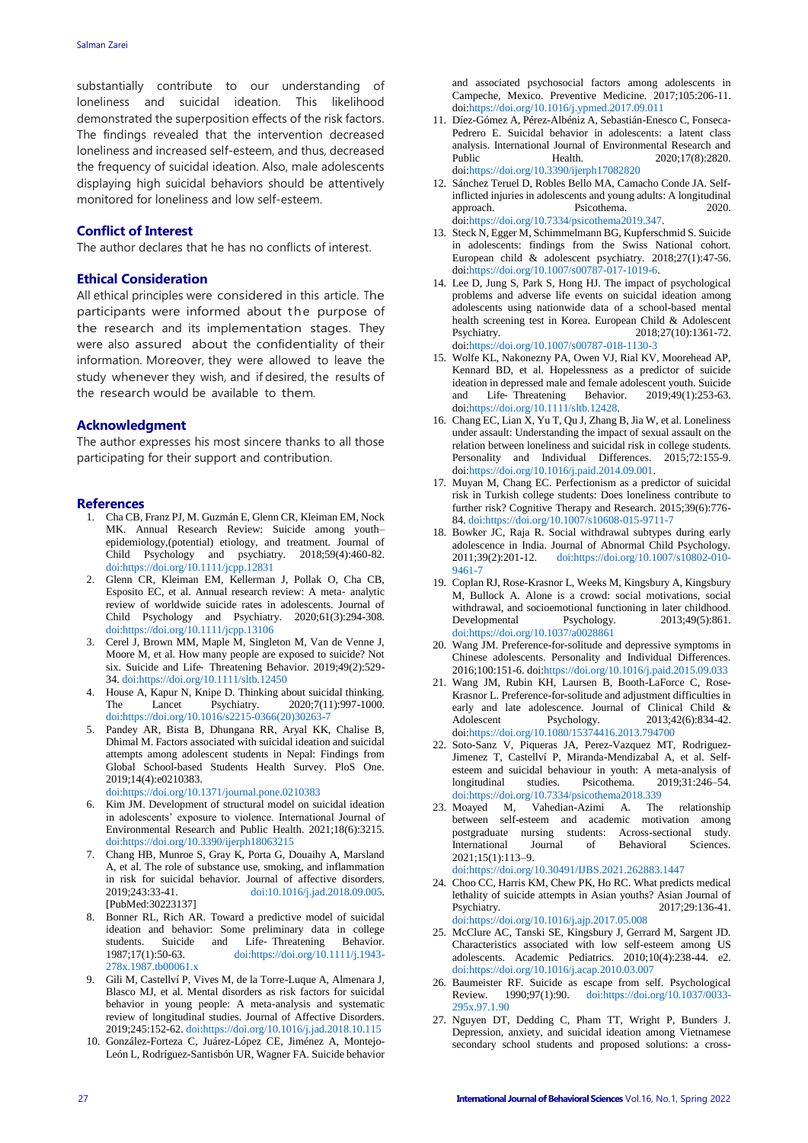substantially contribute to our understanding of loneliness and suicidal ideation. This likelihood demonstrated the superposition effects of the risk factors. The findings revealed that the intervention decreased loneliness and increased self-esteem, and thus, decreased the frequency of suicidal ideation. Also, male adolescents displaying high suicidal behaviors should be attentively monitored for loneliness and low self-esteem.

## **Conflict of Interest**

The author declares that he has no conflicts of interest.

## **Ethical Consideration**

All ethical principles were considered in this article. The participants were informed about the purpose of the research and its implementation stages. They were also assured about the confidentiality of their information. Moreover, they were allowed to leave the study whenever they wish, and if desired, the results of the research would be available to them.

#### **Acknowledgment**

The author expresses his most sincere thanks to all those participating for their support and contribution.

#### **References**

- 1. Cha CB, Franz PJ, M. Guzmán E, Glenn CR, Kleiman EM, Nock MK. Annual Research Review: Suicide among youth– epidemiology,(potential) etiology, and treatment. Journal of Child Psychology and psychiatry. 2018;59(4):460-82. [doi:https://doi.org/10.1111/jcpp.12831](https://doi.org/10.1111/jcpp.12831)
- 2. Glenn CR, Kleiman EM, Kellerman J, Pollak O, Cha CB, Esposito EC, et al. Annual research review: A meta‐ analytic review of worldwide suicide rates in adolescents. Journal of Child Psychology and Psychiatry. 2020;61(3):294-308. [doi:https://doi.org/10.1111/jcpp.13106](https://doi.org/10.1111/jcpp.13106)
- 3. Cerel J, Brown MM, Maple M, Singleton M, Van de Venne J, Moore M, et al. How many people are exposed to suicide? Not six. Suicide and Life‐ Threatening Behavior. 2019;49(2):529- 34[. doi:https://doi.org/10.1111/sltb.12450](https://doi.org/10.1111/sltb.12450)
- 4. House A, Kapur N, Knipe D. Thinking about suicidal thinking. The Lancet Psychiatry. 2020;7(11):997-1000. [doi:https://doi.org/10.1016/s2215-0366\(20\)30263-7](https://doi.org/10.1016/s2215-0366(20)30263-7)
- 5. Pandey AR, Bista B, Dhungana RR, Aryal KK, Chalise B, Dhimal M. Factors associated with suicidal ideation and suicidal attempts among adolescent students in Nepal: Findings from Global School-based Students Health Survey. PloS One. 2019;14(4):e0210383.

[doi:https://doi.org/10.1371/journal.pone.0210383](https://doi.org/10.1371/journal.pone.0210383)

- 6. Kim JM. Development of structural model on suicidal ideation in adolescents' exposure to violence. International Journal of Environmental Research and Public Health. 2021;18(6):3215. [doi:https://doi.org/10.3390/ijerph18063215](https://doi.org/10.3390/ijerph18063215)
- 7. Chang HB, Munroe S, Gray K, Porta G, Douaihy A, Marsland A, et al. The role of substance use, smoking, and inflammation in risk for suicidal behavior. Journal of affective disorders. 2019;243:33-41. [doi:10.1016/j.jad.2018.09.005.](doi:10.1016/j.jad.2018.09.005)  [PubMed:30223137]
- 8. Bonner RL, Rich AR. Toward a predictive model of suicidal ideation and behavior: Some preliminary data in college students. Suicide and Life-Threatening Behavior.<br>1987:17(1):50-63. doi:https://doi.org/10.1111/i.1943-1987;17(1):50-63. [doi:https://doi.org/10.1111/j.1943-](https://doi.org/10.1111/j.1943-278x.1987.tb00061.x) [278x.1987.tb00061.x](https://doi.org/10.1111/j.1943-278x.1987.tb00061.x)
- 9. Gili M, Castellví P, Vives M, de la Torre-Luque A, Almenara J, Blasco MJ, et al. Mental disorders as risk factors for suicidal behavior in young people: A meta-analysis and systematic review of longitudinal studies. Journal of Affective Disorders. 2019;245:152-62[. doi:https://doi.org/10.1016/j.jad.2018.10.115](https://doi.org/10.1016/j.jad.2018.10.115)
- 10. González-Forteza C, Juárez-López CE, Jiménez A, Montejo-León L, Rodríguez-Santisbón UR, Wagner FA. Suicide behavior

and associated psychosocial factors among adolescents in Campeche, Mexico. Preventive Medicine. 2017;105:206-11. do[i:https://doi.org/10.1016/j.ypmed.2017.09.011](https://doi.org/10.1016/j.ypmed.2017.09.011)

- 11. Díez-Gómez A, Pérez-Albéniz A, Sebastián-Enesco C, Fonseca-Pedrero E. Suicidal behavior in adolescents: a latent class analysis. International Journal of Environmental Research and Public Health. 2020;17(8):2820. do[i:https://doi.org/10.3390/ijerph17082820](https://doi.org/10.3390/ijerph17082820)
- 12. Sánchez Teruel D, Robles Bello MA, Camacho Conde JA. Selfinflicted injuries in adolescents and young adults: A longitudinal approach. Psicothema. 2020. do[i:https://doi.org/10.7334/psicothema2019.347.](https://doi.org/10.7334/psicothema2019.347)
- 13. Steck N, Egger M, Schimmelmann BG, Kupferschmid S. Suicide in adolescents: findings from the Swiss National cohort. European child & adolescent psychiatry. 2018;27(1):47-56. do[i:https://doi.org/10.1007/s00787-017-1019-6.](https://doi.org/10.1007/s00787-017-1019-6)
- 14. Lee D, Jung S, Park S, Hong HJ. The impact of psychological problems and adverse life events on suicidal ideation among adolescents using nationwide data of a school-based mental health screening test in Korea. European Child & Adolescent Psychiatry. 2018;27(10):1361-72. do[i:https://doi.org/10.1007/s00787-018-1130-3](https://doi.org/10.1007/s00787-018-1130-3)
- 15. Wolfe KL, Nakonezny PA, Owen VJ, Rial KV, Moorehead AP, Kennard BD, et al. Hopelessness as a predictor of suicide ideation in depressed male and female adolescent youth. Suicide and Life‐ Threatening Behavior. 2019;49(1):253-63. do[i:https://doi.org/10.1111/sltb.12428.](https://doi.org/10.1111/sltb.12428)
- 16. Chang EC, Lian X, Yu T, Qu J, Zhang B, Jia W, et al. Loneliness under assault: Understanding the impact of sexual assault on the relation between loneliness and suicidal risk in college students.<br>Personality and Individual Differences. 2015:72:155-9. Personality and Individual Differences. do[i:https://doi.org/10.1016/j.paid.2014.09.001.](https://doi.org/10.1016/j.paid.2014.09.001)
- 17. Muyan M, Chang EC. Perfectionism as a predictor of suicidal risk in Turkish college students: Does loneliness contribute to further risk? Cognitive Therapy and Research. 2015;39(6):776- 84[. doi:https://doi.org/10.1007/s10608-015-9711-7](https://doi.org/10.1007/s10608-015-9711-7)
- 18. Bowker JC, Raja R. Social withdrawal subtypes during early adolescence in India. Journal of Abnormal Child Psychology. 2011;39(2):201-12. [doi:https://doi.org/10.1007/s10802-010-](doi:https://doi.org/10.1007/s10802-010-9461-7) [9461-7](doi:https://doi.org/10.1007/s10802-010-9461-7)
- 19. Coplan RJ, Rose-Krasnor L, Weeks M, Kingsbury A, Kingsbury M, Bullock A. Alone is a crowd: social motivations, social withdrawal, and socioemotional functioning in later childhood.<br>Developmental Psychology. 2013;49(5):861. Developmental Psychology. 2013;49(5):861. [doi:https://doi.org/10.1037/a0028861](https://doi.org/10.1037/a0028861)
- 20. Wang JM. Preference-for-solitude and depressive symptoms in Chinese adolescents. Personality and Individual Differences. 2016;100:151-6. do[i:https://doi.org/10.1016/j.paid.2015.09.033](https://doi.org/10.1016/j.paid.2015.09.033)
- 21. Wang JM, Rubin KH, Laursen B, Booth-LaForce C, Rose-Krasnor L. Preference-for-solitude and adjustment difficulties in early and late adolescence. Journal of Clinical Child & Adolescent Psychology.  $2013;42(6):834-42$ . 2013;42(6):834-42. do[i:https://doi.org/10.1080/15374416.2013.794700](https://doi.org/10.1080/15374416.2013.794700)
- 22. Soto-Sanz V, Piqueras JA, Perez-Vazquez MT, Rodriguez-Jimenez T, Castellví P, Miranda-Mendizabal A, et al. Selfesteem and suicidal behaviour in youth: A meta-analysis of longitudinal studies. Psicothema. 2019;31:246–54. [doi:https://doi.org/10.7334/psicothema2018.339](https://doi.org/10.7334/psicothema2018.339)
- 23. Moayed M, Vahedian-Azimi A. The relationship between self-esteem and academic motivation among postgraduate nursing students: Across-sectional study. International Journal of Behavioral Sciences. 2021;15(1):113–9.

[doi:https://doi.org/10.30491/IJBS.2021.262883.1447](https://doi.org/10.30491/IJBS.2021.262883.1447)

- 24. Choo CC, Harris KM, Chew PK, Ho RC. What predicts medical lethality of suicide attempts in Asian youths? Asian Journal of Psychiatry. 2017;29:136-41. [doi:https://doi.org/10.1016/j.ajp.2017.05.008](https://doi.org/10.1016/j.ajp.2017.05.008)
- 25. McClure AC, Tanski SE, Kingsbury J, Gerrard M, Sargent JD. Characteristics associated with low self-esteem among US adolescents. Academic Pediatrics. 2010;10(4):238-44. e2. [doi:https://doi.org/10.1016/j.acap.2010.03.007](https://doi.org/10.1016/j.acap.2010.03.007)
- 26. Baumeister RF. Suicide as escape from self. Psychological Review. 1990;97(1):90. [doi:https://doi.org/10.1037/0033-](https://doi.org/10.1037/0033-295x.97.1.90) [295x.97.1.90](https://doi.org/10.1037/0033-295x.97.1.90)
- 27. Nguyen DT, Dedding C, Pham TT, Wright P, Bunders J. Depression, anxiety, and suicidal ideation among Vietnamese secondary school students and proposed solutions: a cross-